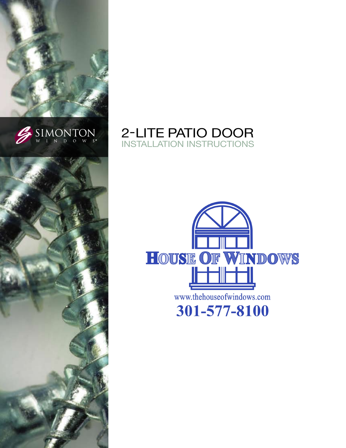





# 2-LITE PATIO DOOR **INSTALLATION INSTRUCTIONS**

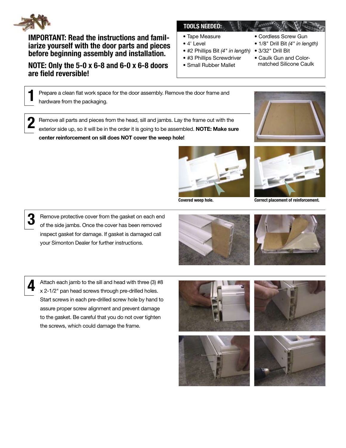

**IMPORTANT: Read the instructions and famil**jarize yourself with the door parts and pieces before beginning assembly and installation.

## NOTE: Only the 5-0 x 6-8 and 6-0 x 6-8 doors are field reversible!

### **TOOLS NEEDED:**

- Tape Measure
- $\bullet$  4' Level
- #2 Phillips Bit (4" in length) 3/32" Drill Bit
- #3 Phillips Screwdriver
- · Small Rubber Mallet
- Cordless Screw Gun
- 1/8" Drill Bit (4" in length)
- 
- Caulk Gun and Color-
- matched Silicone Caulk

Prepare a clean flat work space for the door assembly. Remove the door frame and hardware from the packaging.

Remove all parts and pieces from the head, sill and jambs. Lay the frame out with the exterior side up, so it will be in the order it is going to be assembled. NOTE: Make sure center reinforcement on sill does NOT cover the weep hole!











Attach each jamb to the sill and head with three (3) #8 x 2-1/2" pan head screws through pre-drilled holes. Start screws in each pre-drilled screw hole by hand to assure proper screw alignment and prevent damage to the gasket. Be careful that you do not over tighten the screws, which could damage the frame.

Remove protective cover from the gasket on each end of the side jambs. Once the cover has been removed inspect gasket for damage. If gasket is damaged call

your Simonton Dealer for further instructions.







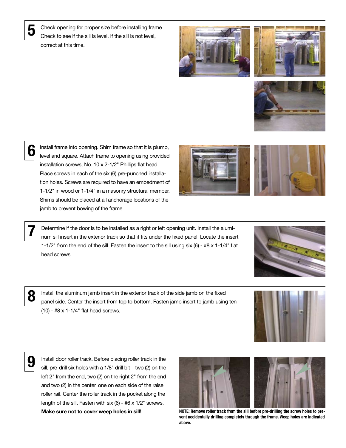Check opening for proper size before installing frame. Check to see if the sill is level. If the sill is not level, correct at this time.







6

Install frame into opening. Shim frame so that it is plumb, level and square. Attach frame to opening using provided installation screws, No. 10 x 2-1/2" Phillips flat head. Place screws in each of the six (6) pre-punched installation holes. Screws are required to have an embedment of 1-1/2" in wood or 1-1/4" in a masonry structural member. Shims should be placed at all anchorage locations of the jamb to prevent bowing of the frame.



Determine if the door is to be installed as a right or left opening unit. Install the aluminum sill insert in the exterior track so that it fits under the fixed panel. Locate the insert 1-1/2" from the end of the sill. Fasten the insert to the sill using six  $(6)$  - #8 x 1-1/4" flat head screws.





Install the aluminum jamb insert in the exterior track of the side jamb on the fixed<br>panel side. Center the insert from top to bottom. Fasten jamb insert to jamb using ten  $(10)$  - #8 x 1-1/4" flat head screws.

**9** Install door roller track. Before placing roller track in the sill, pre-drill six holes with a 1/8" drill bit—two (2) on the left 2" from the end, two (2) on the right 2" from the end and two (2) in the center, one on each side of the raise roller rail. Center the roller track in the pocket along the length of the sill. Fasten with six  $(6)$  - #6 x  $1/2$ " screws.



Make sure not to cover weep holes in sill! NOTE: Remove roller track from the sill before pre-drilling the screw holes to prevent accidentally drilling completely through the frame. Weep holes are indicated above.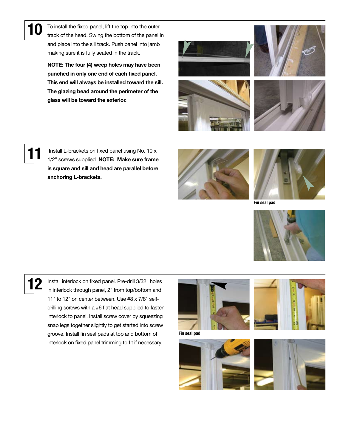10 To install the fixed panel, lift the top into the outer track of the head. Swing the bottom of the panel in and place into the sill track. Push panel into jamb making sure it is fully seated in the track.

> NOTE: The four (4) weep holes may have been punched in only one end of each fixed panel. This end will always be installed toward the sill. The glazing bead around the perimeter of the glass will be toward the exterior.







11 Install L-brackets on fixed panel using No. 10 x<br>1/2" screws supplied. **NOTE: Make sure frame** is square and sill and head are parallel before anchoring L-brackets.





Fin seal pad



12 Install interlock on fixed panel. Pre-drill 3/32" holes<br>in interlock through panel, 2" from top/bottom and 11" to 12" on center between. Use #8 x 7/8" selfdrilling screws with a #6 flat head supplied to fasten interlock to panel. Install screw cover by squeezing snap legs together slightly to get started into screw groove. Install fin seal pads at top and bottom of interlock on fixed panel trimming to fit if necessary.



Fin seal pad





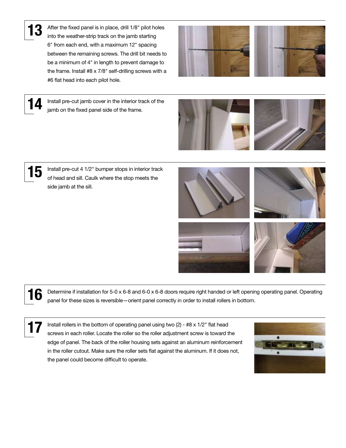**13** After the fixed panel is in place, drill 1/8" pilot holes into the weather-strip track on the jamb starting 6" from each end, with a maximum 12" spacing between the remaining screws. The drill bit needs to be a minimum of 4" in length to prevent damage to the frame. Install #8 x 7/8" self-drilling screws with a #6 flat head into each pilot hole.

Install pre-cut jamb cover in the interior track of the

jamb on the fixed panel side of the frame.









15 Install pre-cut 4 1/2" bumper stops in interior track of head and sill. Caulk where the stop meets the side jamb at the sill.









Determine if installation for 5-0 x 6-8 and 6-0 x 6-8 doors require right handed or left opening operating panel. Operating panel for these sizes is reversible—orient panel correctly in order to install rollers in bottom.

Install rollers in the bottom of operating panel using two  $(2)$  - #8 x 1/2" flat head screws in each roller. Locate the roller so the roller adjustment screw is toward the edge of panel. The back of the roller housing sets against an aluminum reinforcement in the roller cutout. Make sure the roller sets flat against the aluminum. If it does not, the panel could become difficult to operate.

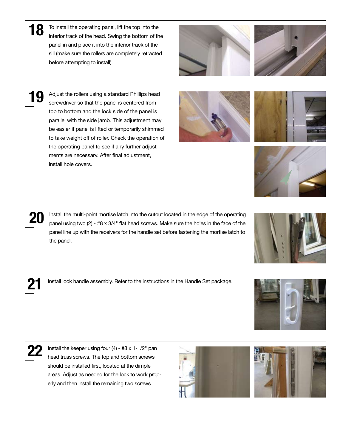18 To install the operating panel, lift the top into the interior track of the head. Swing the bottom of the panel in and place it into the interior track of the sill (make sure the rollers are completely retracted before attempting to install).





19 Adjust the rollers using a standard Phillips head screwdriver so that the panel is centered from top to bottom and the lock side of the panel is parallel with the side jamb. This adjustment may be easier if panel is lifted or temporarily shimmed to take weight off of roller. Check the operation of the operating panel to see if any further adjustments are necessary. After final adjustment, install hole covers.

20 Install the multi-point mortise latch into the cutout located in the edge of the operating<br>nonel using two (2) He v 2/4" flat bood oppure. Make auto the belge in the face of the panel using two  $(2)$  - #8 x 3/4" flat head screws. Make sure the holes in the face of the panel line up with the receivers for the handle set before fastening the mortise latch to the panel.

21 Install lock handle assembly. Refer to the instructions in the Handle Set package.



Install the keeper using four  $(4)$  - #8 x 1-1/2" pan head truss screws. The top and bottom screws should be installed first, located at the dimple areas. Adjust as needed for the lock to work properly and then install the remaining two screws.











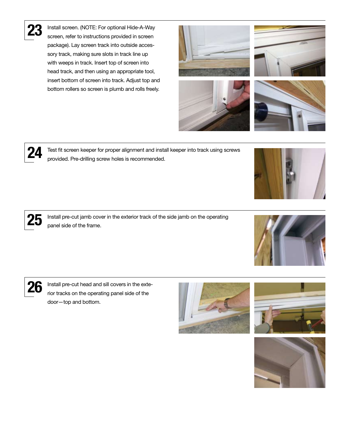

Install screen. (NOTE: For optional Hide-A-Way screen, refer to instructions provided in screen package). Lay screen track into outside accessory track, making sure slots in track line up with weeps in track. Insert top of screen into head track, and then using an appropriate tool, insert bottom of screen into track. Adjust top and bottom rollers so screen is plumb and rolls freely.

24 Test fit screen keeper for proper alignment and install keeper into track using screws provided. Pre-drilling screw holes is recommended.

25 Install pre-cut jamb cover in the exterior track of the side jamb on the operating panel side of the frame.

26 Install pre-cut head and sill covers in the exte-<br>and the extension of the exercise people identified rior tracks on the operating panel side of the door—top and bottom.